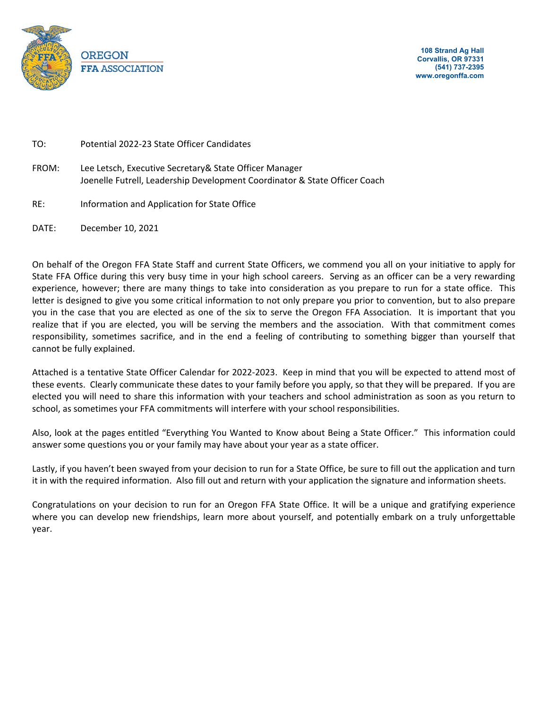

TO: Potential 2022-23 State Officer Candidates

- FROM: Lee Letsch, Executive Secretary& State Officer Manager Joenelle Futrell, Leadership Development Coordinator & State Officer Coach
- RE: Information and Application for State Office

DATE: December 10, 2021

On behalf of the Oregon FFA State Staff and current State Officers, we commend you all on your initiative to apply for State FFA Office during this very busy time in your high school careers. Serving as an officer can be a very rewarding experience, however; there are many things to take into consideration as you prepare to run for a state office. This letter is designed to give you some critical information to not only prepare you prior to convention, but to also prepare you in the case that you are elected as one of the six to serve the Oregon FFA Association. It is important that you realize that if you are elected, you will be serving the members and the association. With that commitment comes responsibility, sometimes sacrifice, and in the end a feeling of contributing to something bigger than yourself that cannot be fully explained.

Attached is a tentative State Officer Calendar for 2022-2023. Keep in mind that you will be expected to attend most of these events. Clearly communicate these dates to your family before you apply, so that they will be prepared. If you are elected you will need to share this information with your teachers and school administration as soon as you return to school, as sometimes your FFA commitments will interfere with your school responsibilities.

Also, look at the pages entitled "Everything You Wanted to Know about Being a State Officer." This information could answer some questions you or your family may have about your year as a state officer.

Lastly, if you haven't been swayed from your decision to run for a State Office, be sure to fill out the application and turn it in with the required information. Also fill out and return with your application the signature and information sheets.

Congratulations on your decision to run for an Oregon FFA State Office. It will be a unique and gratifying experience where you can develop new friendships, learn more about yourself, and potentially embark on a truly unforgettable year.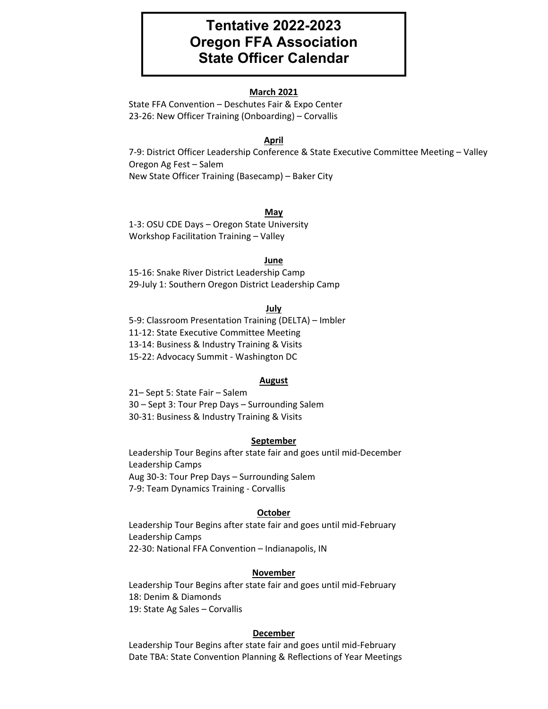# **Tentative 2022-2023 Oregon FFA Association State Officer Calendar**

#### **March 2021**

State FFA Convention – Deschutes Fair & Expo Center 23-26: New Officer Training (Onboarding) – Corvallis

#### **April**

7-9: District Officer Leadership Conference & State Executive Committee Meeting – Valley Oregon Ag Fest – Salem New State Officer Training (Basecamp) – Baker City

#### **May**

1-3: OSU CDE Days – Oregon State University Workshop Facilitation Training – Valley

#### **June**

15-16: Snake River District Leadership Camp 29-July 1: Southern Oregon District Leadership Camp

#### **July**

5-9: Classroom Presentation Training (DELTA) – Imbler 11-12: State Executive Committee Meeting 13-14: Business & Industry Training & Visits 15-22: Advocacy Summit - Washington DC

#### **August**

21– Sept 5: State Fair – Salem 30 – Sept 3: Tour Prep Days – Surrounding Salem 30-31: Business & Industry Training & Visits

#### **September**

Leadership Tour Begins after state fair and goes until mid-December Leadership Camps Aug 30-3: Tour Prep Days – Surrounding Salem 7-9: Team Dynamics Training - Corvallis

#### **October**

Leadership Tour Begins after state fair and goes until mid-February Leadership Camps 22-30: National FFA Convention – Indianapolis, IN

#### **November**

Leadership Tour Begins after state fair and goes until mid-February 18: Denim & Diamonds 19: State Ag Sales – Corvallis

#### **December**

Leadership Tour Begins after state fair and goes until mid-February Date TBA: State Convention Planning & Reflections of Year Meetings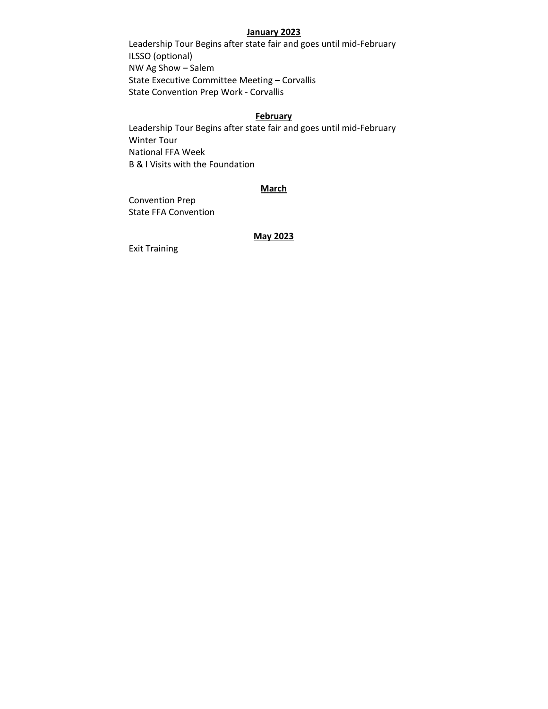#### **January 2023**

Leadership Tour Begins after state fair and goes until mid-February ILSSO (optional) NW Ag Show – Salem State Executive Committee Meeting – Corvallis State Convention Prep Work - Corvallis

#### **February**

Leadership Tour Begins after state fair and goes until mid-February Winter Tour National FFA Week B & I Visits with the Foundation

#### **March**

Convention Prep State FFA Convention

# **May 2023**

Exit Training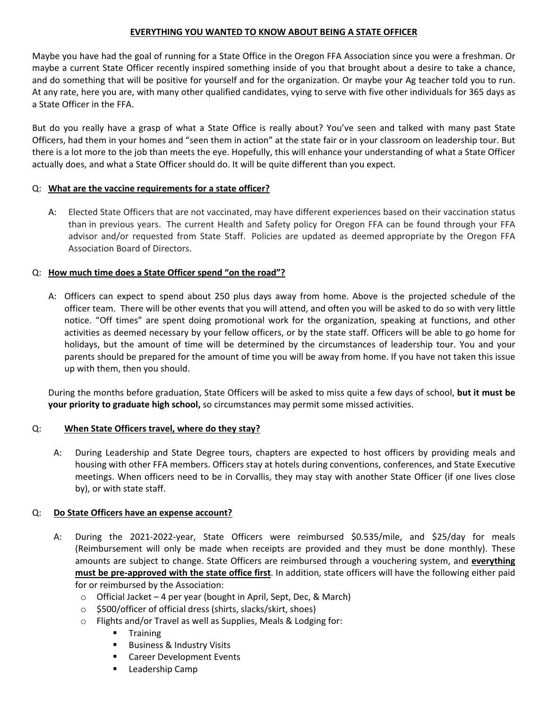# **EVERYTHING YOU WANTED TO KNOW ABOUT BEING A STATE OFFICER**

Maybe you have had the goal of running for a State Office in the Oregon FFA Association since you were a freshman. Or maybe a current State Officer recently inspired something inside of you that brought about a desire to take a chance, and do something that will be positive for yourself and for the organization. Or maybe your Ag teacher told you to run. At any rate, here you are, with many other qualified candidates, vying to serve with five other individuals for 365 days as a State Officer in the FFA.

But do you really have a grasp of what a State Office is really about? You've seen and talked with many past State Officers, had them in your homes and "seen them in action" at the state fair or in your classroom on leadership tour. But there is a lot more to the job than meets the eye. Hopefully, this will enhance your understanding of what a State Officer actually does, and what a State Officer should do. It will be quite different than you expect.

# Q: **What are the vaccine requirements for a state officer?**

A: Elected State Officers that are not vaccinated, may have different experiences based on their vaccination status than in previous years. The current Health and Safety policy for Oregon FFA can be found through your FFA advisor and/or requested from State Staff. Policies are updated as deemed appropriate by the Oregon FFA Association Board of Directors.

# Q: **How much time does a State Officer spend "on the road"?**

A: Officers can expect to spend about 250 plus days away from home. Above is the projected schedule of the officer team. There will be other events that you will attend, and often you will be asked to do so with very little notice. "Off times" are spent doing promotional work for the organization, speaking at functions, and other activities as deemed necessary by your fellow officers, or by the state staff. Officers will be able to go home for holidays, but the amount of time will be determined by the circumstances of leadership tour. You and your parents should be prepared for the amount of time you will be away from home. If you have not taken this issue up with them, then you should.

During the months before graduation, State Officers will be asked to miss quite a few days of school, **but it must be your priority to graduate high school,** so circumstances may permit some missed activities.

# Q: **When State Officers travel, where do they stay?**

A: During Leadership and State Degree tours, chapters are expected to host officers by providing meals and housing with other FFA members. Officers stay at hotels during conventions, conferences, and State Executive meetings. When officers need to be in Corvallis, they may stay with another State Officer (if one lives close by), or with state staff.

# Q: **Do State Officers have an expense account?**

- A: During the 2021-2022-year, State Officers were reimbursed \$0.535/mile, and \$25/day for meals (Reimbursement will only be made when receipts are provided and they must be done monthly). These amounts are subject to change. State Officers are reimbursed through a vouchering system, and **everything must be pre-approved with the state office first**. In addition, state officers will have the following either paid for or reimbursed by the Association:
	- $\circ$  Official Jacket 4 per year (bought in April, Sept, Dec, & March)
	- o \$500/officer of official dress (shirts, slacks/skirt, shoes)
	- o Flights and/or Travel as well as Supplies, Meals & Lodging for:
		- **Training**
		- **Business & Industry Visits**
		- **EXEC** Career Development Events
		- **E** Leadership Camp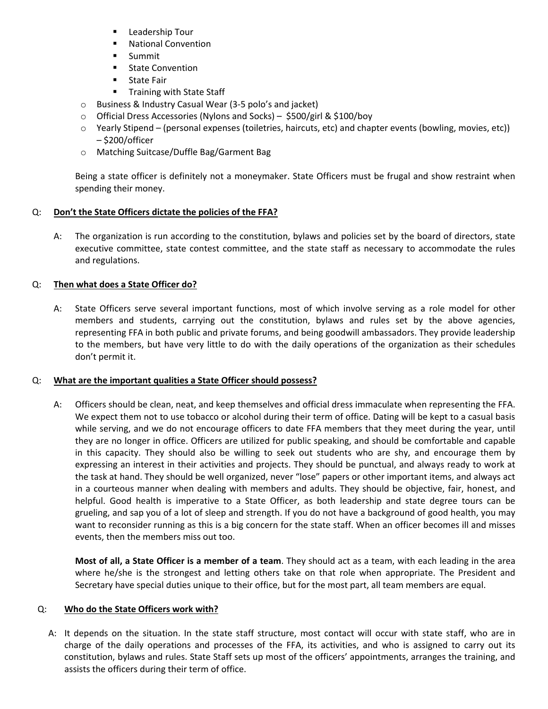- **E** Leadership Tour
- **National Convention**
- **Summit**
- **State Convention**
- **State Fair**
- **Training with State Staff**
- o Business & Industry Casual Wear (3-5 polo's and jacket)
- o Official Dress Accessories (Nylons and Socks) \$500/girl & \$100/boy
- o Yearly Stipend (personal expenses (toiletries, haircuts, etc) and chapter events (bowling, movies, etc)) – \$200/officer
- o Matching Suitcase/Duffle Bag/Garment Bag

Being a state officer is definitely not a moneymaker. State Officers must be frugal and show restraint when spending their money.

# Q: **Don't the State Officers dictate the policies of the FFA?**

A: The organization is run according to the constitution, bylaws and policies set by the board of directors, state executive committee, state contest committee, and the state staff as necessary to accommodate the rules and regulations.

# Q: **Then what does a State Officer do?**

A: State Officers serve several important functions, most of which involve serving as a role model for other members and students, carrying out the constitution, bylaws and rules set by the above agencies, representing FFA in both public and private forums, and being goodwill ambassadors. They provide leadership to the members, but have very little to do with the daily operations of the organization as their schedules don't permit it.

# Q: **What are the important qualities a State Officer should possess?**

A: Officers should be clean, neat, and keep themselves and official dress immaculate when representing the FFA. We expect them not to use tobacco or alcohol during their term of office. Dating will be kept to a casual basis while serving, and we do not encourage officers to date FFA members that they meet during the year, until they are no longer in office. Officers are utilized for public speaking, and should be comfortable and capable in this capacity. They should also be willing to seek out students who are shy, and encourage them by expressing an interest in their activities and projects. They should be punctual, and always ready to work at the task at hand. They should be well organized, never "lose" papers or other important items, and always act in a courteous manner when dealing with members and adults. They should be objective, fair, honest, and helpful. Good health is imperative to a State Officer, as both leadership and state degree tours can be grueling, and sap you of a lot of sleep and strength. If you do not have a background of good health, you may want to reconsider running as this is a big concern for the state staff. When an officer becomes ill and misses events, then the members miss out too.

**Most of all, a State Officer is a member of a team**. They should act as a team, with each leading in the area where he/she is the strongest and letting others take on that role when appropriate. The President and Secretary have special duties unique to their office, but for the most part, all team members are equal.

# Q: **Who do the State Officers work with?**

A: It depends on the situation. In the state staff structure, most contact will occur with state staff, who are in charge of the daily operations and processes of the FFA, its activities, and who is assigned to carry out its constitution, bylaws and rules. State Staff sets up most of the officers' appointments, arranges the training, and assists the officers during their term of office.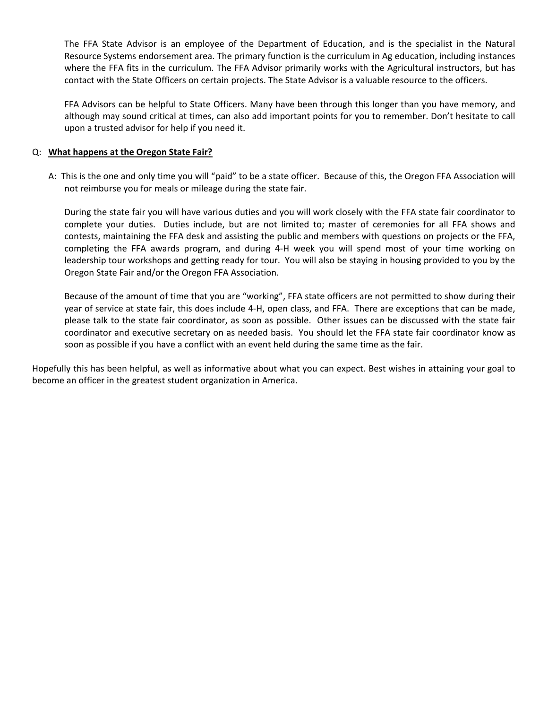The FFA State Advisor is an employee of the Department of Education, and is the specialist in the Natural Resource Systems endorsement area. The primary function is the curriculum in Ag education, including instances where the FFA fits in the curriculum. The FFA Advisor primarily works with the Agricultural instructors, but has contact with the State Officers on certain projects. The State Advisor is a valuable resource to the officers.

FFA Advisors can be helpful to State Officers. Many have been through this longer than you have memory, and although may sound critical at times, can also add important points for you to remember. Don't hesitate to call upon a trusted advisor for help if you need it.

# Q: **What happens at the Oregon State Fair?**

A: This is the one and only time you will "paid" to be a state officer. Because of this, the Oregon FFA Association will not reimburse you for meals or mileage during the state fair.

During the state fair you will have various duties and you will work closely with the FFA state fair coordinator to complete your duties. Duties include, but are not limited to; master of ceremonies for all FFA shows and contests, maintaining the FFA desk and assisting the public and members with questions on projects or the FFA, completing the FFA awards program, and during 4-H week you will spend most of your time working on leadership tour workshops and getting ready for tour. You will also be staying in housing provided to you by the Oregon State Fair and/or the Oregon FFA Association.

Because of the amount of time that you are "working", FFA state officers are not permitted to show during their year of service at state fair, this does include 4-H, open class, and FFA. There are exceptions that can be made, please talk to the state fair coordinator, as soon as possible. Other issues can be discussed with the state fair coordinator and executive secretary on as needed basis. You should let the FFA state fair coordinator know as soon as possible if you have a conflict with an event held during the same time as the fair.

Hopefully this has been helpful, as well as informative about what you can expect. Best wishes in attaining your goal to become an officer in the greatest student organization in America.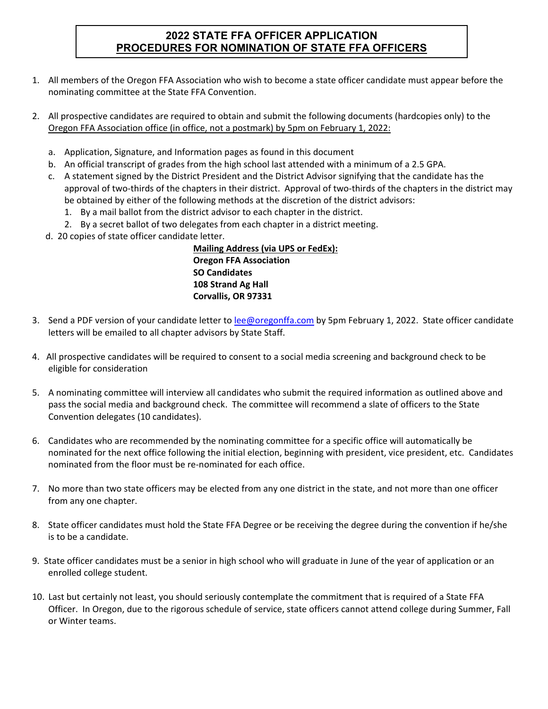# **2022 STATE FFA OFFICER APPLICATION PROCEDURES FOR NOMINATION OF STATE FFA OFFICERS**

- 1. All members of the Oregon FFA Association who wish to become a state officer candidate must appear before the nominating committee at the State FFA Convention.
- 2. All prospective candidates are required to obtain and submit the following documents (hardcopies only) to the Oregon FFA Association office (in office, not a postmark) by 5pm on February 1, 2022:
	- a. Application, Signature, and Information pages as found in this document
	- b. An official transcript of grades from the high school last attended with a minimum of a 2.5 GPA.
	- c. A statement signed by the District President and the District Advisor signifying that the candidate has the approval of two-thirds of the chapters in their district. Approval of two-thirds of the chapters in the district may be obtained by either of the following methods at the discretion of the district advisors:
		- 1. By a mail ballot from the district advisor to each chapter in the district.
		- 2. By a secret ballot of two delegates from each chapter in a district meeting.
	- d. 20 copies of state officer candidate letter.

**Mailing Address (via UPS or FedEx): Oregon FFA Association SO Candidates 108 Strand Ag Hall Corvallis, OR 97331**

- 3. Send a PDF version of your candidate letter to [lee@oregonffa.com](mailto:lee@oregonffa.com) by 5pm February 1, 2022. State officer candidate letters will be emailed to all chapter advisors by State Staff.
- 4. All prospective candidates will be required to consent to a social media screening and background check to be eligible for consideration
- 5. A nominating committee will interview all candidates who submit the required information as outlined above and pass the social media and background check. The committee will recommend a slate of officers to the State Convention delegates (10 candidates).
- 6. Candidates who are recommended by the nominating committee for a specific office will automatically be nominated for the next office following the initial election, beginning with president, vice president, etc. Candidates nominated from the floor must be re-nominated for each office.
- 7. No more than two state officers may be elected from any one district in the state, and not more than one officer from any one chapter.
- 8. State officer candidates must hold the State FFA Degree or be receiving the degree during the convention if he/she is to be a candidate.
- 9. State officer candidates must be a senior in high school who will graduate in June of the year of application or an enrolled college student.
- 10. Last but certainly not least, you should seriously contemplate the commitment that is required of a State FFA Officer. In Oregon, due to the rigorous schedule of service, state officers cannot attend college during Summer, Fall or Winter teams.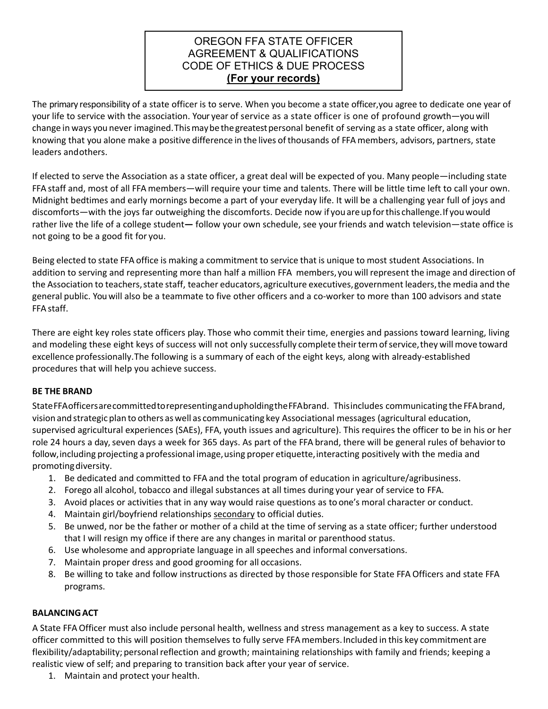# OREGON FFA STATE OFFICER AGREEMENT & QUALIFICATIONS CODE OF ETHICS & DUE PROCESS **(For your records)**

The primary responsibility of a state officer is to serve. When you become a state officer,you agree to dedicate one year of your life to service with the association. Your year of service as a state officer is one of profound growth—youwill change in ways you never imagined. Thismaybethegreatestpersonal benefit of serving as a state officer, along with knowing that you alone make a positive difference in the lives of thousands of FFA members, advisors, partners, state leaders andothers.

If elected to serve the Association as a state officer, a great deal will be expected of you. Many people—including state FFA staff and, most of all FFA members—will require your time and talents. There will be little time left to call your own. Midnight bedtimes and early mornings become a part of your everyday life. It will be a challenging year full of joys and discomforts—with the joys far outweighing the discomforts. Decide now if youareupforthis challenge.If youwould rather live the life of a college student**—** follow your own schedule, see yourfriends and watch television—state office is not going to be a good fit for you.

Being elected to state FFA office is making a commitment to service that is unique to most student Associations. In addition to serving and representing more than half a million FFA members, you will represent the image and direction of the Association to teachers, state staff, teacher educators, agriculture executives, government leaders, the media and the general public. You will also be a teammate to five other officers and a co-worker to more than 100 advisors and state FFA staff.

There are eight key roles state officers play. Those who commit their time, energies and passions toward learning, living and modeling these eight keys of success will not only successfully complete their term of service, they will move toward excellence professionally.The following is a summary of each of the eight keys, along with already-established procedures that will help you achieve success.

# **BE THE BRAND**

StateFFAofficersarecommittedtorepresentingandupholdingtheFFAbrand. Thisincludes communicating the FFAbrand, vision and strategic plan to others aswell as communicating key Associational messages (agricultural education, supervised agricultural experiences (SAEs), FFA, youth issues and agriculture). This requires the officer to be in his or her role 24 hours a day, seven days a week for 365 days. As part of the FFA brand, there will be general rules of behaviorto follow, including projecting a professional image, using proper etiquette, interacting positively with the media and promotingdiversity.

- 1. Be dedicated and committed to FFA and the total program of education in agriculture/agribusiness.
- 2. Forego all alcohol, tobacco and illegal substances at all times during your year of service to FFA.
- 3. Avoid places or activities that in any way would raise questions as to one's moral character or conduct.
- 4. Maintain girl/boyfriend relationships secondary to official duties.
- 5. Be unwed, nor be the father or mother of a child at the time of serving as a state officer; further understood that I will resign my office if there are any changes in marital or parenthood status.
- 6. Use wholesome and appropriate language in all speeches and informal conversations.
- 7. Maintain proper dress and good grooming for all occasions.
- 8. Be willing to take and follow instructions as directed by those responsible for State FFA Officers and state FFA programs.

# **BALANCINGACT**

A State FFA Officer must also include personal health, wellness and stress management as a key to success. A state officer committed to this will position themselves to fully serve FFAmembers.Included in this key commitment are flexibility/adaptability; personal reflection and growth; maintaining relationships with family and friends; keeping a realistic view of self; and preparing to transition back after your year of service.

1. Maintain and protect your health.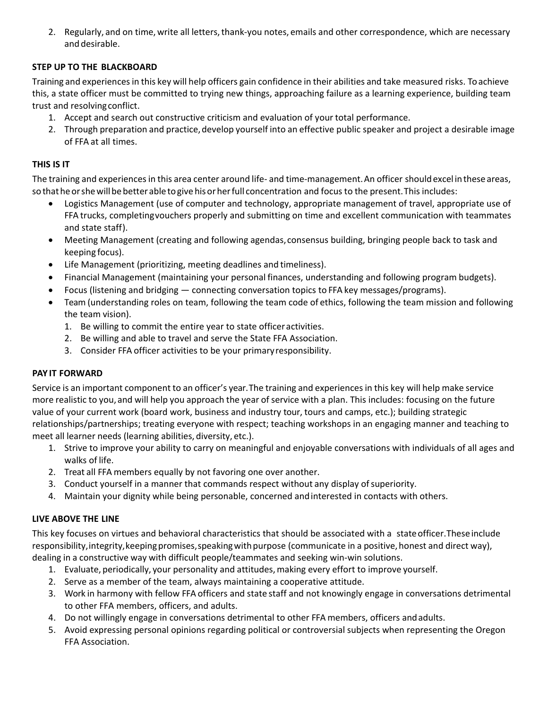2. Regularly, and on time, write all letters, thank-you notes, emails and other correspondence, which are necessary and desirable.

# **STEP UP TO THE BLACKBOARD**

Training and experiencesin this key will help officers gain confidence in their abilities and take measured risks. To achieve this, a state officer must be committed to trying new things, approaching failure as a learning experience, building team trust and resolvingconflict.

- 1. Accept and search out constructive criticism and evaluation of your total performance.
- 2. Through preparation and practice, develop yourself into an effective public speaker and project a desirable image of FFA at all times.

# **THIS IS IT**

The training and experiences in this area center around life- and time-management. An officer should excel in these areas, so that he or she will be better able to give his or her full concentration and focus to the present. This includes:

- Logistics Management (use of computer and technology, appropriate management of travel, appropriate use of FFA trucks, completingvouchers properly and submitting on time and excellent communication with teammates and state staff).
- Meeting Management (creating and following agendas, consensus building, bringing people back to task and keeping focus).
- Life Management (prioritizing, meeting deadlines and timeliness).
- Financial Management (maintaining your personal finances, understanding and following program budgets).
- Focus (listening and bridging connecting conversation topics to FFA key messages/programs).
- Team (understanding roles on team, following the team code of ethics, following the team mission and following the team vision).
	- 1. Be willing to commit the entire year to state officeractivities.
	- 2. Be willing and able to travel and serve the State FFA Association.
	- 3. Consider FFA officer activities to be your primaryresponsibility.

# **PAY IT FORWARD**

Service is an important component to an officer's year.The training and experiencesin this key will help make service more realistic to you, and will help you approach the year of service with a plan. This includes: focusing on the future value of your current work (board work, business and industry tour, tours and camps, etc.); building strategic relationships/partnerships; treating everyone with respect; teaching workshops in an engaging manner and teaching to meet all learner needs (learning abilities, diversity, etc.).

- 1. Strive to improve your ability to carry on meaningful and enjoyable conversations with individuals of all ages and walks of life.
- 2. Treat all FFA members equally by not favoring one over another.
- 3. Conduct yourself in a manner that commands respect without any display ofsuperiority.
- 4. Maintain your dignity while being personable, concerned andinterested in contacts with others.

# **LIVE ABOVE THE LINE**

This key focuses on virtues and behavioral characteristics that should be associated with a stateofficer.Theseinclude responsibility, integrity, keeping promises, speaking with purpose (communicate in a positive, honest and direct way), dealing in a constructive way with difficult people/teammates and seeking win-win solutions.

- 1. Evaluate, periodically, your personality and attitudes,making every effort to improve yourself.
- 2. Serve as a member of the team, always maintaining a cooperative attitude.
- 3. Work in harmony with fellow FFA officers and state staff and not knowingly engage in conversations detrimental to other FFA members, officers, and adults.
- 4. Do not willingly engage in conversations detrimental to other FFA members, officers andadults.
- 5. Avoid expressing personal opinions regarding political or controversial subjects when representing the Oregon FFA Association.